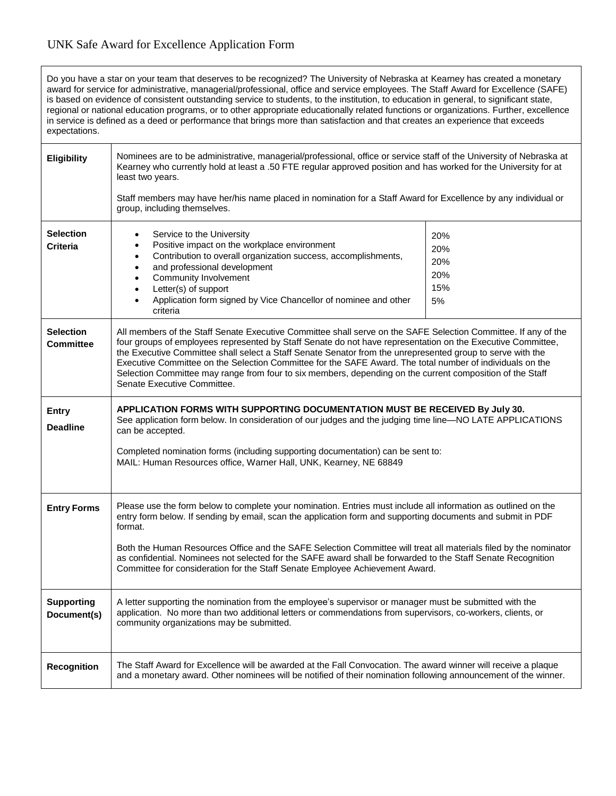## UNK Safe Award for Excellence Application Form

Do you have a star on your team that deserves to be recognized? The University of Nebraska at Kearney has created a monetary award for service for administrative, managerial/professional, office and service employees. The Staff Award for Excellence (SAFE) is based on evidence of consistent outstanding service to students, to the institution, to education in general, to significant state, regional or national education programs, or to other appropriate educationally related functions or organizations. Further, excellence in service is defined as a deed or performance that brings more than satisfaction and that creates an experience that exceeds expectations.

| <b>Eligibility</b>                   | Nominees are to be administrative, managerial/professional, office or service staff of the University of Nebraska at<br>Kearney who currently hold at least a .50 FTE regular approved position and has worked for the University for at<br>least two years.<br>Staff members may have her/his name placed in nomination for a Staff Award for Excellence by any individual or<br>group, including themselves.                                                                                                                                                                                       |                                       |
|--------------------------------------|------------------------------------------------------------------------------------------------------------------------------------------------------------------------------------------------------------------------------------------------------------------------------------------------------------------------------------------------------------------------------------------------------------------------------------------------------------------------------------------------------------------------------------------------------------------------------------------------------|---------------------------------------|
| <b>Selection</b><br><b>Criteria</b>  | Service to the University<br>$\bullet$<br>Positive impact on the workplace environment<br>$\bullet$<br>Contribution to overall organization success, accomplishments,<br>$\bullet$<br>and professional development<br>$\bullet$<br>Community Involvement<br>$\bullet$<br>Letter(s) of support<br>$\bullet$<br>Application form signed by Vice Chancellor of nominee and other<br>criteria                                                                                                                                                                                                            | 20%<br>20%<br>20%<br>20%<br>15%<br>5% |
| <b>Selection</b><br><b>Committee</b> | All members of the Staff Senate Executive Committee shall serve on the SAFE Selection Committee. If any of the<br>four groups of employees represented by Staff Senate do not have representation on the Executive Committee,<br>the Executive Committee shall select a Staff Senate Senator from the unrepresented group to serve with the<br>Executive Committee on the Selection Committee for the SAFE Award. The total number of individuals on the<br>Selection Committee may range from four to six members, depending on the current composition of the Staff<br>Senate Executive Committee. |                                       |
| <b>Entry</b><br><b>Deadline</b>      | APPLICATION FORMS WITH SUPPORTING DOCUMENTATION MUST BE RECEIVED By July 30.<br>See application form below. In consideration of our judges and the judging time line-NO LATE APPLICATIONS<br>can be accepted.<br>Completed nomination forms (including supporting documentation) can be sent to:<br>MAIL: Human Resources office, Warner Hall, UNK, Kearney, NE 68849                                                                                                                                                                                                                                |                                       |
| <b>Entry Forms</b>                   | Please use the form below to complete your nomination. Entries must include all information as outlined on the<br>entry form below. If sending by email, scan the application form and supporting documents and submit in PDF<br>format.<br>Both the Human Resources Office and the SAFE Selection Committee will treat all materials filed by the nominator<br>as confidential. Nominees not selected for the SAFE award shall be forwarded to the Staff Senate Recognition<br>Committee for consideration for the Staff Senate Employee Achievement Award.                                         |                                       |
| <b>Supporting</b><br>Document(s)     | A letter supporting the nomination from the employee's supervisor or manager must be submitted with the<br>application. No more than two additional letters or commendations from supervisors, co-workers, clients, or<br>community organizations may be submitted.                                                                                                                                                                                                                                                                                                                                  |                                       |
| <b>Recognition</b>                   | The Staff Award for Excellence will be awarded at the Fall Convocation. The award winner will receive a plaque<br>and a monetary award. Other nominees will be notified of their nomination following announcement of the winner.                                                                                                                                                                                                                                                                                                                                                                    |                                       |